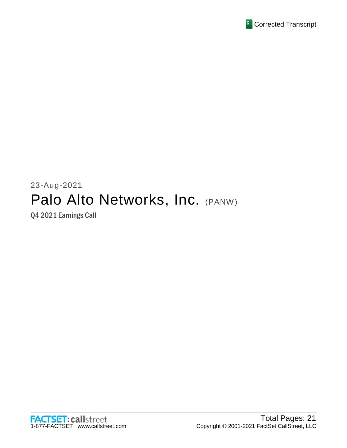

# 23-Aug-2021 Palo Alto Networks, Inc. (PANW)

Q4 2021 Earnings Call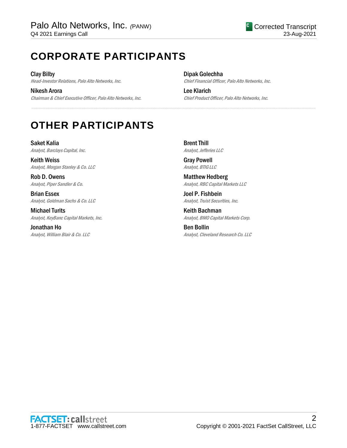# **CORPORATE PARTICIPANTS**

Clay Bilby Head-Investor Relations, Palo Alto Networks, Inc.

Nikesh Arora Chairman & Chief Executive Officer, Palo Alto Networks, Inc. Dipak Golechha Chief Financial Officer, Palo Alto Networks, Inc.

Lee Klarich Chief Product Officer, Palo Alto Networks, Inc.

# **OTHER PARTICIPANTS**

Saket Kalia Analyst, Barclays Capital, Inc.

Keith Weiss Analyst, Morgan Stanley & Co. LLC

Rob D. Owens Analyst, Piper Sandler & Co.

Brian Essex Analyst, Goldman Sachs & Co. LLC

Michael Turits Analyst, KeyBanc Capital Markets, Inc.

Jonathan Ho Analyst, William Blair & Co. LLC Brent Thill Analyst, Jefferies LLC

.....................................................................................................................................................................................................................................................................

Gray Powell Analyst, BTIG LLC

Matthew Hedberg Analyst, RBC Capital Markets LLC

Joel P. Fishbein Analyst, Truist Securities, Inc.

Keith Bachman Analyst, BMO Capital Markets Corp.

Ben Bollin Analyst, Cleveland Research Co. LLC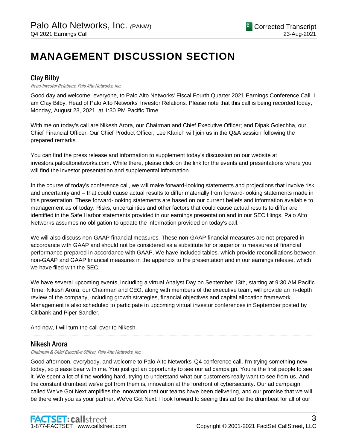# **MANAGEMENT DISCUSSION SECTION**

# Clay Bilby

#### Head-Investor Relations, Palo Alto Networks, Inc.

Good day and welcome, everyone, to Palo Alto Networks' Fiscal Fourth Quarter 2021 Earnings Conference Call. I am Clay Bilby, Head of Palo Alto Networks' Investor Relations. Please note that this call is being recorded today, Monday, August 23, 2021, at 1:30 PM Pacific Time.

With me on today's call are Nikesh Arora, our Chairman and Chief Executive Officer; and Dipak Golechha, our Chief Financial Officer. Our Chief Product Officer, Lee Klarich will join us in the Q&A session following the prepared remarks.

You can find the press release and information to supplement today's discussion on our website at investors.paloaltonetworks.com. While there, please click on the link for the events and presentations where you will find the investor presentation and supplemental information.

In the course of today's conference call, we will make forward-looking statements and projections that involve risk and uncertainty and – that could cause actual results to differ materially from forward-looking statements made in this presentation. These forward-looking statements are based on our current beliefs and information available to management as of today. Risks, uncertainties and other factors that could cause actual results to differ are identified in the Safe Harbor statements provided in our earnings presentation and in our SEC filings. Palo Alto Networks assumes no obligation to update the information provided on today's call.

We will also discuss non-GAAP financial measures. These non-GAAP financial measures are not prepared in accordance with GAAP and should not be considered as a substitute for or superior to measures of financial performance prepared in accordance with GAAP. We have included tables, which provide reconciliations between non-GAAP and GAAP financial measures in the appendix to the presentation and in our earnings release, which we have filed with the SEC.

We have several upcoming events, including a virtual Analyst Day on September 13th, starting at 9:30 AM Pacific Time. Nikesh Arora, our Chairman and CEO, along with members of the executive team, will provide an in-depth review of the company, including growth strategies, financial objectives and capital allocation framework. Management is also scheduled to participate in upcoming virtual investor conferences in September posted by Citibank and Piper Sandler.

.....................................................................................................................................................................................................................................................................

And now, I will turn the call over to Nikesh.

## Nikesh Arora

Chairman & Chief Executive Officer, Palo Alto Networks, Inc.

Good afternoon, everybody, and welcome to Palo Alto Networks' Q4 conference call. I'm trying something new today, so please bear with me. You just got an opportunity to see our ad campaign. You're the first people to see it. We spent a lot of time working hard, trying to understand what our customers really want to see from us. And the constant drumbeat we've got from them is, innovation at the forefront of cybersecurity. Our ad campaign called We've Got Next amplifies the innovation that our teams have been delivering, and our promise that we will be there with you as your partner. We've Got Next. I look forward to seeing this ad be the drumbeat for all of our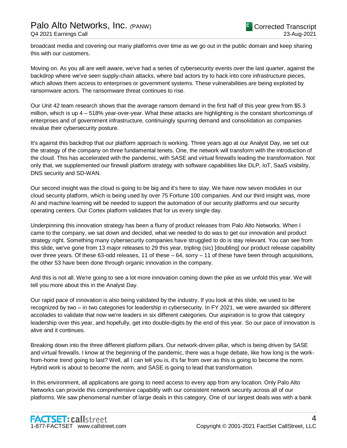broadcast media and covering our many platforms over time as we go out in the public domain and keep sharing this with our customers.

Moving on. As you all are well aware, we've had a series of cybersecurity events over the last quarter, against the backdrop where we've seen supply-chain attacks, where bad actors try to hack into core infrastructure pieces, which allows them access to enterprises or government systems. These vulnerabilities are being exploited by ransomware actors. The ransomware threat continues to rise.

Our Unit 42 team research shows that the average ransom demand in the first half of this year grew from \$5.3 million, which is up 4 – 518% year-over-year. What these attacks are highlighting is the constant shortcomings of enterprises and of government infrastructure, continuingly spurring demand and consolidation as companies revalue their cybersecurity posture.

It's against this backdrop that our platform approach is working. Three years ago at our Analyst Day, we set out the strategy of the company on three fundamental tenets. One, the network will transform with the introduction of the cloud. This has accelerated with the pandemic, with SASE and virtual firewalls leading the transformation. Not only that, we supplemented our firewall platform strategy with software capabilities like DLP, IoT, SaaS visibility, DNS security and SD-WAN.

Our second insight was the cloud is going to be big and it's here to stay. We have now seven modules in our cloud security platform, which is being used by over 75 Fortune 100 companies. And our third insight was, more AI and machine learning will be needed to support the automation of our security platforms and our security operating centers. Our Cortex platform validates that for us every single day.

Underpinning this innovation strategy has been a flurry of product releases from Palo Alto Networks. When I came to the company, we sat down and decided, what we needed to do was to get our innovation and product strategy right. Something many cybersecurity companies have struggled to do is stay relevant. You can see from this slide, we've gone from 13 major releases to 29 this year, tripling (sic) [doubling] our product release capability over three years. Of these 63-odd releases, 11 of these – 64, sorry – 11 of these have been through acquisitions, the other 53 have been done through organic innovation in the company.

And this is not all. We're going to see a lot more innovation coming down the pike as we unfold this year. We will tell you more about this in the Analyst Day.

Our rapid pace of innovation is also being validated by the industry. If you look at this slide, we used to be recognized by two – in two categories for leadership in cybersecurity. In FY 2021, we were awarded six different accolades to validate that now we're leaders in six different categories. Our aspiration is to grow that category leadership over this year, and hopefully, get into double-digits by the end of this year. So our pace of innovation is alive and it continues.

Breaking down into the three different platform pillars. Our network-driven pillar, which is being driven by SASE and virtual firewalls. I know at the beginning of the pandemic, there was a huge debate, like how long is the workfrom-home trend going to last? Well, all I can tell you is, it's far from over as this is going to become the norm. Hybrid work is about to become the norm, and SASE is going to lead that transformation.

In this environment, all applications are going to need access to every app from any location. Only Palo Alto Networks can provide this comprehensive capability with our consistent network security across all of our platforms. We saw phenomenal number of large deals in this category. One of our largest deals was with a bank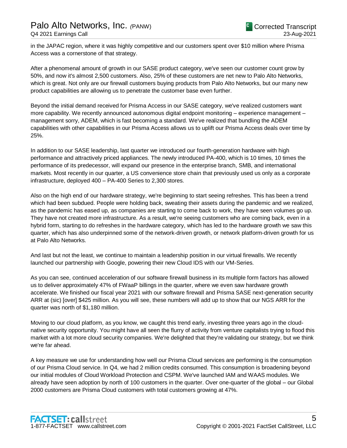in the JAPAC region, where it was highly competitive and our customers spent over \$10 million where Prisma Access was a cornerstone of that strategy.

After a phenomenal amount of growth in our SASE product category, we've seen our customer count grow by 50%, and now it's almost 2,500 customers. Also, 25% of these customers are net new to Palo Alto Networks, which is great. Not only are our firewall customers buying products from Palo Alto Networks, but our many new product capabilities are allowing us to penetrate the customer base even further.

Beyond the initial demand received for Prisma Access in our SASE category, we've realized customers want more capability. We recently announced autonomous digital endpoint monitoring – experience management – management sorry, ADEM, which is fast becoming a standard. We've realized that bundling the ADEM capabilities with other capabilities in our Prisma Access allows us to uplift our Prisma Access deals over time by 25%.

In addition to our SASE leadership, last quarter we introduced our fourth-generation hardware with high performance and attractively priced appliances. The newly introduced PA-400, which is 10 times, 10 times the performance of its predecessor, will expand our presence in the enterprise branch, SMB, and international markets. Most recently in our quarter, a US convenience store chain that previously used us only as a corporate infrastructure, deployed 400 – PA-400 Series to 2,300 stores.

Also on the high end of our hardware strategy, we're beginning to start seeing refreshes. This has been a trend which had been subdued. People were holding back, sweating their assets during the pandemic and we realized, as the pandemic has eased up, as companies are starting to come back to work, they have seen volumes go up. They have not created more infrastructure. As a result, we're seeing customers who are coming back, even in a hybrid form, starting to do refreshes in the hardware category, which has led to the hardware growth we saw this quarter, which has also underpinned some of the network-driven growth, or network platform-driven growth for us at Palo Alto Networks.

And last but not the least, we continue to maintain a leadership position in our virtual firewalls. We recently launched our partnership with Google, powering their new Cloud IDS with our VM-Series.

As you can see, continued acceleration of our software firewall business in its multiple form factors has allowed us to deliver approximately 47% of FWaaP billings in the quarter, where we even saw hardware growth accelerate. We finished our fiscal year 2021 with our software firewall and Prisma SASE next-generation security ARR at (sic) [over] \$425 million. As you will see, these numbers will add up to show that our NGS ARR for the quarter was north of \$1,180 million.

Moving to our cloud platform, as you know, we caught this trend early, investing three years ago in the cloudnative security opportunity. You might have all seen the flurry of activity from venture capitalists trying to flood this market with a lot more cloud security companies. We're delighted that they're validating our strategy, but we think we're far ahead.

A key measure we use for understanding how well our Prisma Cloud services are performing is the consumption of our Prisma Cloud service. In Q4, we had 2 million credits consumed. This consumption is broadening beyond our initial modules of Cloud Workload Protection and CSPM. We've launched IAM and WAAS modules. We already have seen adoption by north of 100 customers in the quarter. Over one-quarter of the global – our Global 2000 customers are Prisma Cloud customers with total customers growing at 47%.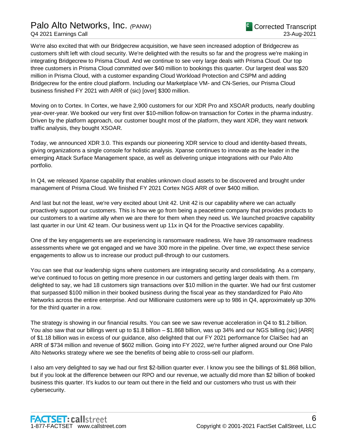# Palo Alto Networks, Inc. *(*PANW)

We're also excited that with our Bridgecrew acquisition, we have seen increased adoption of Bridgecrew as customers shift left with cloud security. We're delighted with the results so far and the progress we're making in integrating Bridgecrew to Prisma Cloud. And we continue to see very large deals with Prisma Cloud. Our top three customers in Prisma Cloud committed over \$40 million to bookings this quarter. Our largest deal was \$20 million in Prisma Cloud, with a customer expanding Cloud Workload Protection and CSPM and adding Bridgecrew for the entire cloud platform. Including our Marketplace VM- and CN-Series, our Prisma Cloud business finished FY 2021 with ARR of (sic) [over] \$300 million.

Moving on to Cortex. In Cortex, we have 2,900 customers for our XDR Pro and XSOAR products, nearly doubling year-over-year. We booked our very first over \$10-million follow-on transaction for Cortex in the pharma industry. Driven by the platform approach, our customer bought most of the platform, they want XDR, they want network traffic analysis, they bought XSOAR.

Today, we announced XDR 3.0. This expands our pioneering XDR service to cloud and identity-based threats, giving organizations a single console for holistic analysis. Xpanse continues to innovate as the leader in the emerging Attack Surface Management space, as well as delivering unique integrations with our Palo Alto portfolio.

In Q4, we released Xpanse capability that enables unknown cloud assets to be discovered and brought under management of Prisma Cloud. We finished FY 2021 Cortex NGS ARR of over \$400 million.

And last but not the least, we're very excited about Unit 42. Unit 42 is our capability where we can actually proactively support our customers. This is how we go from being a peacetime company that provides products to our customers to a wartime ally when we are there for them when they need us. We launched proactive capability last quarter in our Unit 42 team. Our business went up 11x in Q4 for the Proactive services capability.

One of the key engagements we are experiencing is ransomware readiness. We have 39 ransomware readiness assessments where we got engaged and we have 300 more in the pipeline. Over time, we expect these service engagements to allow us to increase our product pull-through to our customers.

You can see that our leadership signs where customers are integrating security and consolidating. As a company, we've continued to focus on getting more presence in our customers and getting larger deals with them. I'm delighted to say, we had 18 customers sign transactions over \$10 million in the quarter. We had our first customer that surpassed \$100 million in their booked business during the fiscal year as they standardized for Palo Alto Networks across the entire enterprise. And our Millionaire customers were up to 986 in Q4, approximately up 30% for the third quarter in a row.

The strategy is showing in our financial results. You can see we saw revenue acceleration in Q4 to \$1.2 billion. You also saw that our billings went up to \$1.8 billion – \$1.868 billion, was up 34% and our NGS billing (sic) [ARR] of \$1.18 billion was in excess of our guidance, also delighted that our FY 2021 performance for ClaiSec had an ARR of \$734 million and revenue of \$602 million. Going into FY 2022, we're further aligned around our One Palo Alto Networks strategy where we see the benefits of being able to cross-sell our platform.

I also am very delighted to say we had our first \$2-billion quarter ever. I know you see the billings of \$1.868 billion, but if you look at the difference between our RPO and our revenue, we actually did more than \$2 billion of booked business this quarter. It's kudos to our team out there in the field and our customers who trust us with their cybersecurity.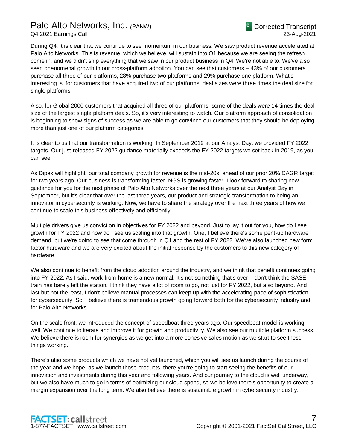# Palo Alto Networks, Inc. *(*PANW) Q4 2021 Earnings Call

During Q4, it is clear that we continue to see momentum in our business. We saw product revenue accelerated at Palo Alto Networks. This is revenue, which we believe, will sustain into Q1 because we are seeing the refresh come in, and we didn't ship everything that we saw in our product business in Q4. We're not able to. We've also seen phenomenal growth in our cross-platform adoption. You can see that customers – 43% of our customers purchase all three of our platforms, 28% purchase two platforms and 29% purchase one platform. What's interesting is, for customers that have acquired two of our platforms, deal sizes were three times the deal size for single platforms.

Also, for Global 2000 customers that acquired all three of our platforms, some of the deals were 14 times the deal size of the largest single platform deals. So, it's very interesting to watch. Our platform approach of consolidation is beginning to show signs of success as we are able to go convince our customers that they should be deploying more than just one of our platform categories.

It is clear to us that our transformation is working. In September 2019 at our Analyst Day, we provided FY 2022 targets. Our just-released FY 2022 guidance materially exceeds the FY 2022 targets we set back in 2019, as you can see.

As Dipak will highlight, our total company growth for revenue is the mid-20s, ahead of our prior 20% CAGR target for two years ago. Our business is transforming faster. NGS is growing faster. I look forward to sharing new guidance for you for the next phase of Palo Alto Networks over the next three years at our Analyst Day in September, but it's clear that over the last three years, our product and strategic transformation to being an innovator in cybersecurity is working. Now, we have to share the strategy over the next three years of how we continue to scale this business effectively and efficiently.

Multiple drivers give us conviction in objectives for FY 2022 and beyond. Just to lay it out for you, how do I see growth for FY 2022 and how do I see us scaling into that growth. One, I believe there's some pent-up hardware demand, but we're going to see that come through in Q1 and the rest of FY 2022. We've also launched new form factor hardware and we are very excited about the initial response by the customers to this new category of hardware.

We also continue to benefit from the cloud adoption around the industry, and we think that benefit continues going into FY 2022. As I said, work-from-home is a new normal. It's not something that's over. I don't think the SASE train has barely left the station. I think they have a lot of room to go, not just for FY 2022, but also beyond. And last but not the least, I don't believe manual processes can keep up with the accelerating pace of sophistication for cybersecurity. So, I believe there is tremendous growth going forward both for the cybersecurity industry and for Palo Alto Networks.

On the scale front, we introduced the concept of speedboat three years ago. Our speedboat model is working well. We continue to iterate and improve it for growth and productivity. We also see our multiple platform success. We believe there is room for synergies as we get into a more cohesive sales motion as we start to see these things working.

There's also some products which we have not yet launched, which you will see us launch during the course of the year and we hope, as we launch those products, there you're going to start seeing the benefits of our innovation and investments during this year and following years. And our journey to the cloud is well underway, but we also have much to go in terms of optimizing our cloud spend, so we believe there's opportunity to create a margin expansion over the long term. We also believe there is sustainable growth in cybersecurity industry.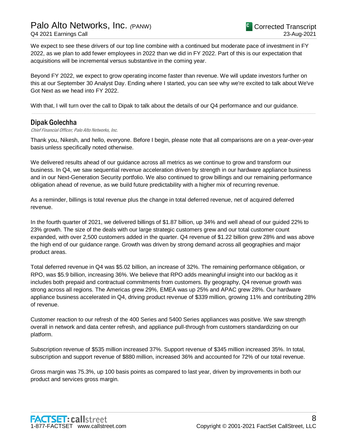# Palo Alto Networks, Inc. *(*PANW) Q4 2021 Earnings Call

We expect to see these drivers of our top line combine with a continued but moderate pace of investment in FY 2022, as we plan to add fewer employees in 2022 than we did in FY 2022. Part of this is our expectation that acquisitions will be incremental versus substantive in the coming year.

Beyond FY 2022, we expect to grow operating income faster than revenue. We will update investors further on this at our September 30 Analyst Day. Ending where I started, you can see why we're excited to talk about We've Got Next as we head into FY 2022.

.....................................................................................................................................................................................................................................................................

With that, I will turn over the call to Dipak to talk about the details of our Q4 performance and our guidance.

#### Dipak Golechha

Chief Financial Officer, Palo Alto Networks, Inc.

Thank you, Nikesh, and hello, everyone. Before I begin, please note that all comparisons are on a year-over-year basis unless specifically noted otherwise.

We delivered results ahead of our guidance across all metrics as we continue to grow and transform our business. In Q4, we saw sequential revenue acceleration driven by strength in our hardware appliance business and in our Next-Generation Security portfolio. We also continued to grow billings and our remaining performance obligation ahead of revenue, as we build future predictability with a higher mix of recurring revenue.

As a reminder, billings is total revenue plus the change in total deferred revenue, net of acquired deferred revenue.

In the fourth quarter of 2021, we delivered billings of \$1.87 billion, up 34% and well ahead of our guided 22% to 23% growth. The size of the deals with our large strategic customers grew and our total customer count expanded, with over 2,500 customers added in the quarter. Q4 revenue of \$1.22 billion grew 28% and was above the high end of our guidance range. Growth was driven by strong demand across all geographies and major product areas.

Total deferred revenue in Q4 was \$5.02 billion, an increase of 32%. The remaining performance obligation, or RPO, was \$5.9 billion, increasing 36%. We believe that RPO adds meaningful insight into our backlog as it includes both prepaid and contractual commitments from customers. By geography, Q4 revenue growth was strong across all regions. The Americas grew 29%, EMEA was up 25% and APAC grew 28%. Our hardware appliance business accelerated in Q4, driving product revenue of \$339 million, growing 11% and contributing 28% of revenue.

Customer reaction to our refresh of the 400 Series and 5400 Series appliances was positive. We saw strength overall in network and data center refresh, and appliance pull-through from customers standardizing on our platform.

Subscription revenue of \$535 million increased 37%. Support revenue of \$345 million increased 35%. In total, subscription and support revenue of \$880 million, increased 36% and accounted for 72% of our total revenue.

Gross margin was 75.3%, up 100 basis points as compared to last year, driven by improvements in both our product and services gross margin.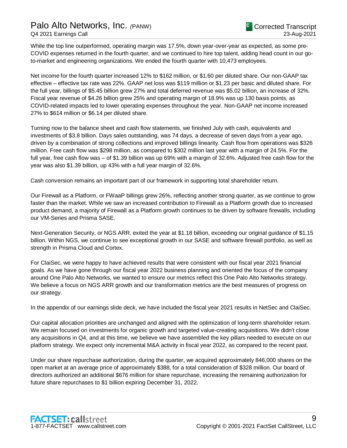While the top line outperformed, operating margin was 17.5%, down year-over-year as expected, as some pre-COVID expenses returned in the fourth quarter, and we continued to hire top talent, adding head count in our goto-market and engineering organizations. We ended the fourth quarter with 10,473 employees.

Net income for the fourth quarter increased 12% to \$162 million, or \$1.60 per diluted share. Our non-GAAP tax effective – effective tax rate was 22%. GAAP net loss was \$119 million or \$1.23 per basic and diluted share. For the full year, billings of \$5.45 billion grew 27% and total deferred revenue was \$5.02 billion, an increase of 32%. Fiscal year revenue of \$4.26 billion grew 25% and operating margin of 18.9% was up 130 basis points, as COVID-related impacts led to lower operating expenses throughout the year. Non-GAAP net income increased 27% to \$614 million or \$6.14 per diluted share.

Turning now to the balance sheet and cash flow statements, we finished July with cash, equivalents and investments of \$3.8 billion. Days sales outstanding, was 74 days, a decrease of seven days from a year ago, driven by a combination of strong collections and improved billings linearity. Cash flow from operations was \$326 million. Free cash flow was \$298 million, as compared to \$302 million last year with a margin of 24.5%. For the full year, free cash flow was – of \$1.39 billion was up 69% with a margin of 32.6%. Adjusted free cash flow for the year was also \$1.39 billion, up 43% with a full year margin of 32.6%.

Cash conversion remains an important part of our framework in supporting total shareholder return.

Our Firewall as a Platform, or FWaaP billings grew 26%, reflecting another strong quarter, as we continue to grow faster than the market. While we saw an increased contribution to Firewall as a Platform growth due to increased product demand, a majority of Firewall as a Platform growth continues to be driven by software firewalls, including our VM-Series and Prisma SASE.

Next-Generation Security, or NGS ARR, exited the year at \$1.18 billion, exceeding our original guidance of \$1.15 billion. Within NGS, we continue to see exceptional growth in our SASE and software firewall portfolio, as well as strength in Prisma Cloud and Cortex.

For ClaiSec, we were happy to have achieved results that were consistent with our fiscal year 2021 financial goals. As we have gone through our fiscal year 2022 business planning and oriented the focus of the company around One Palo Alto Networks, we wanted to ensure our metrics reflect this One Palo Alto Networks strategy. We believe a focus on NGS ARR growth and our transformation metrics are the best measures of progress on our strategy.

In the appendix of our earnings slide deck, we have included the fiscal year 2021 results in NetSec and ClaiSec.

Our capital allocation priorities are unchanged and aligned with the optimization of long-term shareholder return. We remain focused on investments for organic growth and targeted value-creating acquisitions. We didn't close any acquisitions in Q4, and at this time, we believe we have assembled the key pillars needed to execute on our platform strategy. We expect only incremental M&A activity in fiscal year 2022, as compared to the recent past.

Under our share repurchase authorization, during the quarter, we acquired approximately 846,000 shares on the open market at an average price of approximately \$388, for a total consideration of \$328 million. Our board of directors authorized an additional \$676 million for share repurchase, increasing the remaining authorization for future share repurchases to \$1 billion expiring December 31, 2022.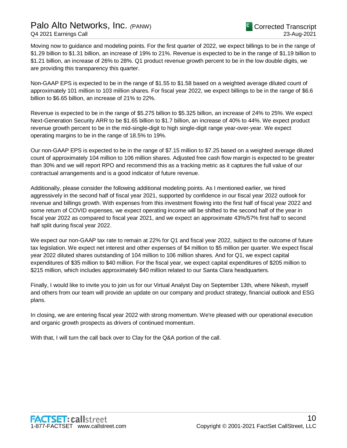## Palo Alto Networks, Inc. *(*PANW) Q4 2021 Earnings Call

Moving now to guidance and modeling points. For the first quarter of 2022, we expect billings to be in the range of \$1.29 billion to \$1.31 billion, an increase of 19% to 21%. Revenue is expected to be in the range of \$1.19 billion to \$1.21 billion, an increase of 26% to 28%. Q1 product revenue growth percent to be in the low double digits, we are providing this transparency this quarter.

Non-GAAP EPS is expected to be in the range of \$1.55 to \$1.58 based on a weighted average diluted count of approximately 101 million to 103 million shares. For fiscal year 2022, we expect billings to be in the range of \$6.6 billion to \$6.65 billion, an increase of 21% to 22%.

Revenue is expected to be in the range of \$5.275 billion to \$5.325 billion, an increase of 24% to 25%. We expect Next-Generation Security ARR to be \$1.65 billion to \$1.7 billion, an increase of 40% to 44%. We expect product revenue growth percent to be in the mid-single-digit to high single-digit range year-over-year. We expect operating margins to be in the range of 18.5% to 19%.

Our non-GAAP EPS is expected to be in the range of \$7.15 million to \$7.25 based on a weighted average diluted count of approximately 104 million to 106 million shares. Adjusted free cash flow margin is expected to be greater than 30% and we will report RPO and recommend this as a tracking metric as it captures the full value of our contractual arrangements and is a good indicator of future revenue.

Additionally, please consider the following additional modeling points. As I mentioned earlier, we hired aggressively in the second half of fiscal year 2021, supported by confidence in our fiscal year 2022 outlook for revenue and billings growth. With expenses from this investment flowing into the first half of fiscal year 2022 and some return of COVID expenses, we expect operating income will be shifted to the second half of the year in fiscal year 2022 as compared to fiscal year 2021, and we expect an approximate 43%/57% first half to second half split during fiscal year 2022.

We expect our non-GAAP tax rate to remain at 22% for Q1 and fiscal year 2022, subject to the outcome of future tax legislation. We expect net interest and other expenses of \$4 million to \$5 million per quarter. We expect fiscal year 2022 diluted shares outstanding of 104 million to 106 million shares. And for Q1, we expect capital expenditures of \$35 million to \$40 million. For the fiscal year, we expect capital expenditures of \$205 million to \$215 million, which includes approximately \$40 million related to our Santa Clara headquarters.

Finally, I would like to invite you to join us for our Virtual Analyst Day on September 13th, where Nikesh, myself and others from our team will provide an update on our company and product strategy, financial outlook and ESG plans.

In closing, we are entering fiscal year 2022 with strong momentum. We're pleased with our operational execution and organic growth prospects as drivers of continued momentum.

With that, I will turn the call back over to Clay for the Q&A portion of the call.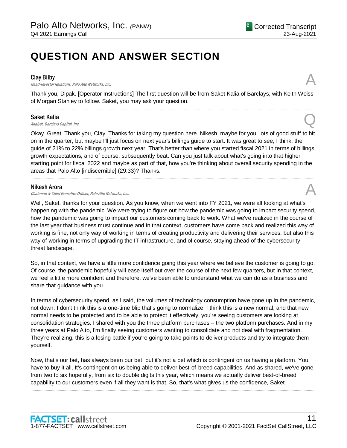# **QUESTION AND ANSWER SECTION**

#### Clay Bilby

**Clay Bilby**<br>Head-Investor Relations, Palo Alto Networks, Inc.

Thank you, Dipak. [Operator Instructions] The first question will be from Saket Kalia of Barclays, with Keith Weiss of Morgan Stanley to follow. Saket, you may ask your question. .....................................................................................................................................................................................................................................................................

#### Saket Kalia

Saket Kalia  $A_{nab}$ st, Barclays Capital, Inc.  $Q$ 

Okay. Great. Thank you, Clay. Thanks for taking my question here. Nikesh, maybe for you, lots of good stuff to hit on in the quarter, but maybe I'll just focus on next year's billings guide to start. It was great to see, I think, the guide of 21% to 22% billings growth next year. That's better than where you started fiscal 2021 in terms of billings growth expectations, and of course, subsequently beat. Can you just talk about what's going into that higher starting point for fiscal 2022 and maybe as part of that, how you're thinking about overall security spending in the areas that Palo Alto [indiscernible] (29:33)? Thanks.

.....................................................................................................................................................................................................................................................................

#### Nikesh Arora

Chairman & Chief Executive Officer, Palo Alto Networks, Inc.

Well, Saket, thanks for your question. As you know, when we went into FY 2021, we were all looking at what's happening with the pandemic. We were trying to figure out how the pandemic was going to impact security spend, how the pandemic was going to impact our customers coming back to work. What we've realized in the course of the last year that business must continue and in that context, customers have come back and realized this way of working is fine, not only way of working in terms of creating productivity and delivering their services, but also this way of working in terms of upgrading the IT infrastructure, and of course, staying ahead of the cybersecurity threat landscape.

So, in that context, we have a little more confidence going this year where we believe the customer is going to go. Of course, the pandemic hopefully will ease itself out over the course of the next few quarters, but in that context, we feel a little more confident and therefore, we've been able to understand what we can do as a business and share that guidance with you.

In terms of cybersecurity spend, as I said, the volumes of technology consumption have gone up in the pandemic, not down. I don't think this is a one-time blip that's going to normalize. I think this is a new normal, and that new normal needs to be protected and to be able to protect it effectively, you're seeing customers are looking at consolidation strategies. I shared with you the three platform purchases – the two platform purchases. And in my three years at Palo Alto, I'm finally seeing customers wanting to consolidate and not deal with fragmentation. They're realizing, this is a losing battle if you're going to take points to deliver products and try to integrate them yourself.

Now, that's our bet, has always been our bet, but it's not a bet which is contingent on us having a platform. You have to buy it all. It's contingent on us being able to deliver best-of-breed capabilities. And as shared, we've gone from two to six hopefully, from six to double digits this year, which means we actually deliver best-of-breed capability to our customers even if all they want is that. So, that's what gives us the confidence, Saket.

.....................................................................................................................................................................................................................................................................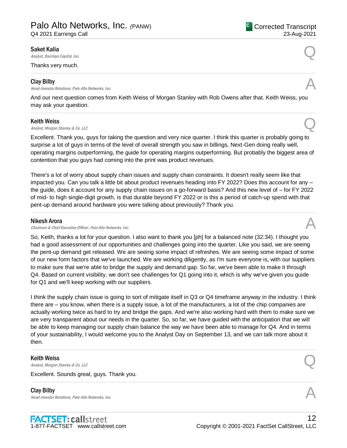Q4 2021 Earnings Call

#### Saket Kalia

Saket Kalia  $A_{nab}$ st, Barclays Capital, Inc.  $Q$ 

Thanks very much.

#### Clay Bilby

**Clay Bilby**<br>Head-Investor Relations, Palo Alto Networks, Inc.  $\mathcal{A}$ 

And our next question comes from Keith Weiss of Morgan Stanley with Rob Owens after that. Keith Weiss, you may ask your question.

.....................................................................................................................................................................................................................................................................

.....................................................................................................................................................................................................................................................................

#### Keith Weiss

**Keith Weiss**<br>Analyst, Morgan Stanley & Co. LLC  $\bigotimes$ 

Excellent. Thank you, guys for taking the question and very nice quarter. I think this quarter is probably going to surprise a lot of guys in terms of the level of overall strength you saw in billings, Next-Gen doing really well, operating margins outperforming, the guide for operating margins outperforming. But probably the biggest area of contention that you guys had coming into the print was product revenues.

There's a lot of worry about supply chain issues and supply chain constraints. It doesn't really seem like that impacted you. Can you talk a little bit about product revenues heading into FY 2022? Does this account for any – the guide, does it account for any supply chain issues on a go-forward basis? And this new level of – for FY 2022 of mid- to high single-digit growth, is that durable beyond FY 2022 or is this a period of catch-up spend with that pent-up demand around hardware you were talking about previously? Thank you.

.....................................................................................................................................................................................................................................................................

#### Nikesh Arora

Chairman & Chief Executive Officer, Palo Alto Networks, Inc.

So, Keith, thanks a lot for your question. I also want to thank you [ph] for a balanced note (32:34). I thought you had a good assessment of our opportunities and challenges going into the quarter. Like you said, we are seeing the pent-up demand get released. We are seeing some impact of refreshes. We are seeing some impact of some of our new form factors that we've launched. We are working diligently, as I'm sure everyone is, with our suppliers to make sure that we're able to bridge the supply and demand gap. So far, we've been able to make it through Q4. Based on current visibility, we don't see challenges for Q1 going into it, which is why we've given you guide for Q1 and we'll keep working with our suppliers.

I think the supply chain issue is going to sort of mitigate itself in Q3 or Q4 timeframe anyway in the industry. I think there are – you know, when there is a supply issue, a lot of the manufacturers, a lot of the chip companies are actually working twice as hard to try and bridge the gaps. And we're also working hard with them to make sure we are very transparent about our needs in the quarter. So, so far, we have guided with the anticipation that we will be able to keep managing our supply chain balance the way we have been able to manage for Q4. And in terms of your sustainability, I would welcome you to the Analyst Day on September 13, and we can talk more about it then.

.....................................................................................................................................................................................................................................................................

.....................................................................................................................................................................................................................................................................

#### Keith Weiss

**Keith Weiss**<br>Analyst, Morgan Stanley & Co. LLC  $\bigotimes$ 

Excellent. Sounds great, guys. Thank you.

Clay Bilby **Clay Bilby**<br>Head-Investor Relations, Palo Alto Networks, Inc.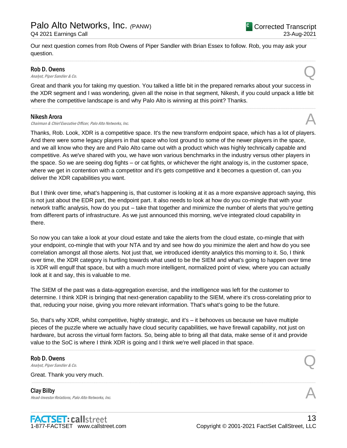Our next question comes from Rob Owens of Piper Sandler with Brian Essex to follow. Rob, you may ask your question.

#### Rob D. Owens

**Rob D. Owens**<br>Analyst, Piper Sandler & Co.

Great and thank you for taking my question. You talked a little bit in the prepared remarks about your success in the XDR segment and I was wondering, given all the noise in that segment, Nikesh, if you could unpack a little bit where the competitive landscape is and why Palo Alto is winning at this point? Thanks.

.....................................................................................................................................................................................................................................................................

.....................................................................................................................................................................................................................................................................

#### Nikesh Arora

Chairman & Chief Executive Officer, Palo Alto Networks, Inc.

Thanks, Rob. Look, XDR is a competitive space. It's the new transform endpoint space, which has a lot of players. And there were some legacy players in that space who lost ground to some of the newer players in the space, and we all know who they are and Palo Alto came out with a product which was highly technically capable and competitive. As we've shared with you, we have won various benchmarks in the industry versus other players in the space. So we are seeing dog fights – or cat fights, or whichever the right analogy is, in the customer space, where we get in contention with a competitor and it's gets competitive and it becomes a question of, can you deliver the XDR capabilities you want.

But I think over time, what's happening is, that customer is looking at it as a more expansive approach saying, this is not just about the EDR part, the endpoint part. It also needs to look at how do you co-mingle that with your network traffic analysis, how do you put – take that together and minimize the number of alerts that you're getting from different parts of infrastructure. As we just announced this morning, we've integrated cloud capability in there.

So now you can take a look at your cloud estate and take the alerts from the cloud estate, co-mingle that with your endpoint, co-mingle that with your NTA and try and see how do you minimize the alert and how do you see correlation amongst all those alerts. Not just that, we introduced identity analytics this morning to it. So, I think over time, the XDR category is hurtling towards what used to be the SIEM and what's going to happen over time is XDR will engulf that space, but with a much more intelligent, normalized point of view, where you can actually look at it and say, this is valuable to me.

The SIEM of the past was a data-aggregation exercise, and the intelligence was left for the customer to determine. I think XDR is bringing that next-generation capability to the SIEM, where it's cross-corelating prior to that, reducing your noise, giving you more relevant information. That's what's going to be the future.

So, that's why XDR, whilst competitive, highly strategic, and it's – it behooves us because we have multiple pieces of the puzzle where we actually have cloud security capabilities, we have firewall capability, not just on hardware, but across the virtual form factors. So, being able to bring all that data, make sense of it and provide value to the SoC is where I think XDR is going and I think we're well placed in that space.

.....................................................................................................................................................................................................................................................................

.....................................................................................................................................................................................................................................................................

## Rob D. Owens **Rob D. Owens**<br>Analyst, Piper Sandler & Co.

Great. Thank you very much.

Clay Bilby **Clay Bilby**<br>Head-Investor Relations, Palo Alto Networks, Inc.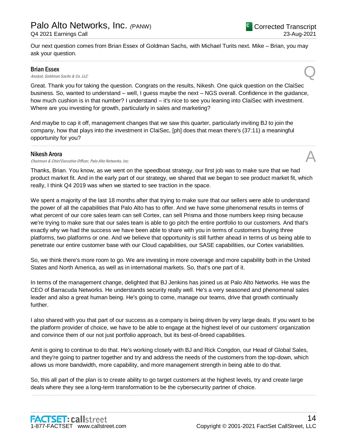Our next question comes from Brian Essex of Goldman Sachs, with Michael Turits next. Mike – Brian, you may ask your question.

.....................................................................................................................................................................................................................................................................

#### Brian Essex

**Brian Essex**<br>Analyst, Goldman Sachs & Co. LLC

Great. Thank you for taking the question. Congrats on the results, Nikesh. One quick question on the ClaiSec business. So, wanted to understand – well, I guess maybe the next – NGS overall. Confidence in the guidance, how much cushion is in that number? I understand – it's nice to see you leaning into ClaiSec with investment. Where are you investing for growth, particularly in sales and marketing?

And maybe to cap it off, management changes that we saw this quarter, particularly inviting BJ to join the company, how that plays into the investment in ClaiSec, [ph] does that mean there's (37:11) a meaningful opportunity for you?

#### Nikesh Arora

Chairman & Chief Executive Officer, Palo Alto Networks, Inc.

Thanks, Brian. You know, as we went on the speedboat strategy, our first job was to make sure that we had product market fit. And in the early part of our strategy, we shared that we began to see product market fit, which really, I think Q4 2019 was when we started to see traction in the space.

.....................................................................................................................................................................................................................................................................

We spent a majority of the last 18 months after that trying to make sure that our sellers were able to understand the power of all the capabilities that Palo Alto has to offer. And we have some phenomenal results in terms of what percent of our core sales team can sell Cortex, can sell Prisma and those numbers keep rising because we're trying to make sure that our sales team is able to go pitch the entire portfolio to our customers. And that's exactly why we had the success we have been able to share with you in terms of customers buying three platforms, two platforms or one. And we believe that opportunity is still further ahead in terms of us being able to penetrate our entire customer base with our Cloud capabilities, our SASE capabilities, our Cortex variabilities.

So, we think there's more room to go. We are investing in more coverage and more capability both in the United States and North America, as well as in international markets. So, that's one part of it.

In terms of the management change, delighted that BJ Jenkins has joined us at Palo Alto Networks. He was the CEO of Barracuda Networks. He understands security really well. He's a very seasoned and phenomenal sales leader and also a great human being. He's going to come, manage our teams, drive that growth continually further.

I also shared with you that part of our success as a company is being driven by very large deals. If you want to be the platform provider of choice, we have to be able to engage at the highest level of our customers' organization and convince them of our not just portfolio approach, but its best-of-breed capabilities.

Amit is going to continue to do that. He's working closely with BJ and Rick Congdon, our Head of Global Sales, and they're going to partner together and try and address the needs of the customers from the top-down, which allows us more bandwidth, more capability, and more management strength in being able to do that.

So, this all part of the plan is to create ability to go target customers at the highest levels, try and create large deals where they see a long-term transformation to be the cybersecurity partner of choice.

.....................................................................................................................................................................................................................................................................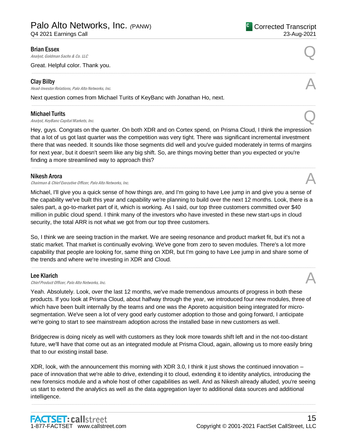Q4 2021 Earnings Call

#### Brian Essex

**Brian Essex**<br>Analyst, Goldman Sachs & Co. LLC

Great. Helpful color. Thank you.

#### Clay Bilby

**Clay Bilby**<br>Head-Investor Relations, Palo Alto Networks, Inc.  $\mathcal{A}$ 

Next question comes from Michael Turits of KeyBanc with Jonathan Ho, next.

#### Michael Turits

**Michael Turits**<br>Analyst, KeyBanc Capital Markets, Inc.  $Q$ 

Hey, guys. Congrats on the quarter. On both XDR and on Cortex spend, on Prisma Cloud, I think the impression that a lot of us got last quarter was the competition was very tight. There was significant incremental investment there that was needed. It sounds like those segments did well and you've guided moderately in terms of margins for next year, but it doesn't seem like any big shift. So, are things moving better than you expected or you're finding a more streamlined way to approach this?

.....................................................................................................................................................................................................................................................................

.....................................................................................................................................................................................................................................................................

.....................................................................................................................................................................................................................................................................

#### Nikesh Arora

Chairman & Chief Executive Officer, Palo Alto Networks, Inc.

Michael, I'll give you a quick sense of how things are, and I'm going to have Lee jump in and give you a sense of the capability we've built this year and capability we're planning to build over the next 12 months. Look, there is a sales part, a go-to-market part of it, which is working. As I said, our top three customers committed over \$40 million in public cloud spend. I think many of the investors who have invested in these new start-ups in cloud security, the total ARR is not what we got from our top three customers.

So, I think we are seeing traction in the market. We are seeing resonance and product market fit, but it's not a static market. That market is continually evolving. We've gone from zero to seven modules. There's a lot more capability that people are looking for, same thing on XDR, but I'm going to have Lee jump in and share some of the trends and where we're investing in XDR and Cloud.

.....................................................................................................................................................................................................................................................................

#### Lee Klarich

**Lee Klarich**<br>Chief Product Officer, Palo Alto Networks, Inc.

Yeah. Absolutely. Look, over the last 12 months, we've made tremendous amounts of progress in both these products. If you look at Prisma Cloud, about halfway through the year, we introduced four new modules, three of which have been built internally by the teams and one was the Aporeto acquisition being integrated for microsegmentation. We've seen a lot of very good early customer adoption to those and going forward, I anticipate we're going to start to see mainstream adoption across the installed base in new customers as well.

Bridgecrew is doing nicely as well with customers as they look more towards shift left and in the not-too-distant future, we'll have that come out as an integrated module at Prisma Cloud, again, allowing us to more easily bring that to our existing install base.

XDR, look, with the announcement this morning with XDR 3.0, I think it just shows the continued innovation – pace of innovation that we're able to drive, extending it to cloud, extending it to identity analytics, introducing the new forensics module and a whole host of other capabilities as well. And as Nikesh already alluded, you're seeing us start to extend the analytics as well as the data aggregation layer to additional data sources and additional intelligence.

.....................................................................................................................................................................................................................................................................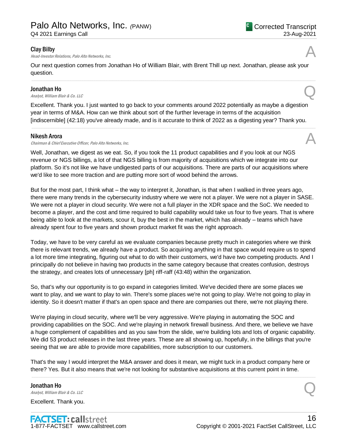#### Clay Bilby

Head-Investor Relations, Palo Alto Networks, Inc.

Our next question comes from Jonathan Ho of William Blair, with Brent Thill up next. Jonathan, please ask your question.

.....................................................................................................................................................................................................................................................................

#### Jonathan Ho

**Jonathan Ho**<br>Analyst, William Blair & Co. LLC

Excellent. Thank you. I just wanted to go back to your comments around 2022 potentially as maybe a digestion year in terms of M&A. How can we think about sort of the further leverage in terms of the acquisition [indiscernible] (42:18) you've already made, and is it accurate to think of 2022 as a digesting year? Thank you.

.....................................................................................................................................................................................................................................................................

#### Nikesh Arora

Chairman & Chief Executive Officer, Palo Alto Networks, Inc.

Well, Jonathan, we digest as we eat. So, if you took the 11 product capabilities and if you look at our NGS revenue or NGS billings, a lot of that NGS billing is from majority of acquisitions which we integrate into our platform. So it's not like we have undigested parts of our acquisitions. There are parts of our acquisitions where we'd like to see more traction and are putting more sort of wood behind the arrows.

But for the most part, I think what – the way to interpret it, Jonathan, is that when I walked in three years ago, there were many trends in the cybersecurity industry where we were not a player. We were not a player in SASE. We were not a player in cloud security. We were not a full player in the XDR space and the SoC. We needed to become a player, and the cost and time required to build capability would take us four to five years. That is where being able to look at the markets, scour it, buy the best in the market, which has already – teams which have already spent four to five years and shown product market fit was the right approach.

Today, we have to be very careful as we evaluate companies because pretty much in categories where we think there is relevant trends, we already have a product. So acquiring anything in that space would require us to spend a lot more time integrating, figuring out what to do with their customers, we'd have two competing products. And I principally do not believe in having two products in the same category because that creates confusion, destroys the strategy, and creates lots of unnecessary [ph] riff-raff (43:48) within the organization.

So, that's why our opportunity is to go expand in categories limited. We've decided there are some places we want to play, and we want to play to win. There's some places we're not going to play. We're not going to play in identity. So it doesn't matter if that's an open space and there are companies out there, we're not playing there.

We're playing in cloud security, where we'll be very aggressive. We're playing in automating the SOC and providing capabilities on the SOC. And we're playing in network firewall business. And there, we believe we have a huge complement of capabilities and as you saw from the slide, we're building lots and lots of organic capability. We did 53 product releases in the last three years. These are all showing up, hopefully, in the billings that you're seeing that we are able to provide more capabilities, more subscription to our customers.

That's the way I would interpret the M&A answer and does it mean, we might tuck in a product company here or there? Yes. But it also means that we're not looking for substantive acquisitions at this current point in time.

.....................................................................................................................................................................................................................................................................

Jonathan Ho **Jonathan Ho**<br>Analyst, William Blair & Co. LLC

Excellent. Thank you.

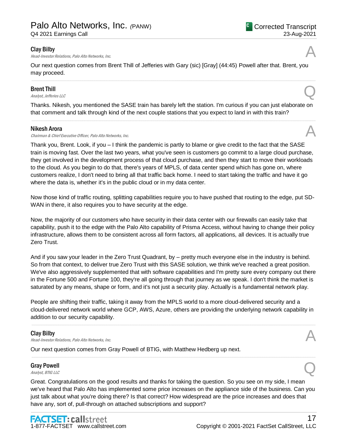#### Clay Bilby

**Clay Bilby**<br>Head-Investor Relations, Palo Alto Networks, Inc.

Our next question comes from Brent Thill of Jefferies with Gary (sic) [Gray] (44:45) Powell after that. Brent, you may proceed.

.....................................................................................................................................................................................................................................................................

#### Brent Thill

**Brent Thill**<br>Analyst, Jefferies LLC

Thanks. Nikesh, you mentioned the SASE train has barely left the station. I'm curious if you can just elaborate on that comment and talk through kind of the next couple stations that you expect to land in with this train? .....................................................................................................................................................................................................................................................................

#### Nikesh Arora

Chairman & Chief Executive Officer, Palo Alto Networks, Inc.

Thank you, Brent. Look, if you – I think the pandemic is partly to blame or give credit to the fact that the SASE train is moving fast. Over the last two years, what you've seen is customers go commit to a large cloud purchase, they get involved in the development process of that cloud purchase, and then they start to move their workloads to the cloud. As you begin to do that, there's years of MPLS, of data center spend which has gone on, where customers realize, I don't need to bring all that traffic back home. I need to start taking the traffic and have it go where the data is, whether it's in the public cloud or in my data center.

Now those kind of traffic routing, splitting capabilities require you to have pushed that routing to the edge, put SD-WAN in there, it also requires you to have security at the edge.

Now, the majority of our customers who have security in their data center with our firewalls can easily take that capability, push it to the edge with the Palo Alto capability of Prisma Access, without having to change their policy infrastructure, allows them to be consistent across all form factors, all applications, all devices. It is actually true Zero Trust.

And if you saw your leader in the Zero Trust Quadrant, by – pretty much everyone else in the industry is behind. So from that context, to deliver true Zero Trust with this SASE solution, we think we've reached a great position. We've also aggressively supplemented that with software capabilities and I'm pretty sure every company out there in the Fortune 500 and Fortune 100, they're all going through that journey as we speak. I don't think the market is saturated by any means, shape or form, and it's not just a security play. Actually is a fundamental network play.

People are shifting their traffic, taking it away from the MPLS world to a more cloud-delivered security and a cloud-delivered network world where GCP, AWS, Azure, others are providing the underlying network capability in addition to our security capability.

.....................................................................................................................................................................................................................................................................

.....................................................................................................................................................................................................................................................................

#### Clay Bilby

**Clay Bilby**<br>Head-Investor Relations, Palo Alto Networks, Inc.

Our next question comes from Gray Powell of BTIG, with Matthew Hedberg up next.

## Gray Powell Gray Powell  $\bigotimes$  *Analyst, BTIG LLC*

Great. Congratulations on the good results and thanks for taking the question. So you see on my side, I mean we've heard that Palo Alto has implemented some price increases on the appliance side of the business. Can you just talk about what you're doing there? Is that correct? How widespread are the price increases and does that have any, sort of, pull-through on attached subscriptions and support?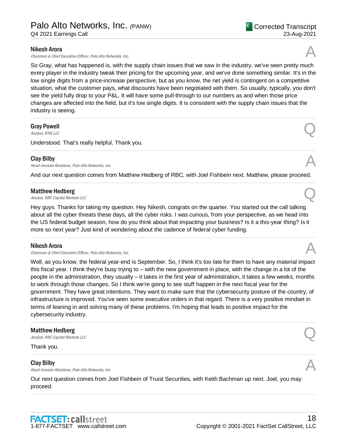#### Nikesh Arora

Chairman & Chief Executive Officer, Palo Alto Networks, Inc.

So Gray, what has happened is, with the supply chain issues that we saw in the industry, we've seen pretty much every player in the industry tweak their pricing for the upcoming year, and we've done something similar. It's in the low single digits from a price-increase perspective, but as you know, the net yield is contingent on a competitive situation, what the customer pays, what discounts have been negotiated with them. So usually, typically, you don't see the yield fully drop to your P&L. It will have some pull-through to our numbers as and when those price changes are affected into the field, but it's low single digits. It is consistent with the supply chain issues that the industry is seeing.

.....................................................................................................................................................................................................................................................................

## Gray Powell Gray Powell  $\bigotimes$ <br>Analyst, BTIG LLC

Understood. That's really helpful. Thank you.

#### Clay Bilby

**Clay Bilby**<br>Head-Investor Relations, Palo Alto Networks, Inc.

And our next question comes from Matthew Hedberg of RBC, with Joel Fishbein next. Matthew, please proceed. .....................................................................................................................................................................................................................................................................

#### Matthew Hedberg

**Matthew Hedberg**<br>Analyst, RBC Capital Markets LLC

Hey guys. Thanks for taking my question. Hey Nikesh, congrats on the quarter. You started out the call talking about all the cyber threats these days, all the cyber risks. I was curious, from your perspective, as we head into the US federal budget season, how do you think about that impacting your business? Is it a this-year thing? Is it more so next year? Just kind of wondering about the cadence of federal cyber funding.

#### Nikesh Arora

Chairman & Chief Executive Officer, Palo Alto Networks, Inc.

Well, as you know, the federal year-end is September. So, I think it's too late for them to have any material impact this fiscal year. I think they're busy trying to – with the new government in place, with the change in a lot of the people in the administration, they usually – it takes in the first year of administration, it takes a few weeks, months to work through those changes. So I think we're going to see stuff happen in the next fiscal year for the government. They have great intentions. They want to make sure that the cybersecurity posture of the country, of infrastructure is improved. You've seen some executive orders in that regard. There is a very positive mindset in terms of leaning in and solving many of these problems. I'm hoping that leads to positive impact for the cybersecurity industry.

.....................................................................................................................................................................................................................................................................

.....................................................................................................................................................................................................................................................................

.....................................................................................................................................................................................................................................................................

#### Matthew Hedberg

**Matthew Hedberg**<br>Analyst, RBC Capital Markets LLC

Thank you.

#### Clay Bilby

**Clay Bilby**<br>Head-Investor Relations, Palo Alto Networks, Inc.

Our next question comes from Joel Fishbein of Truist Securities, with Keith Bachman up next. Joel, you may proceed.





# .....................................................................................................................................................................................................................................................................



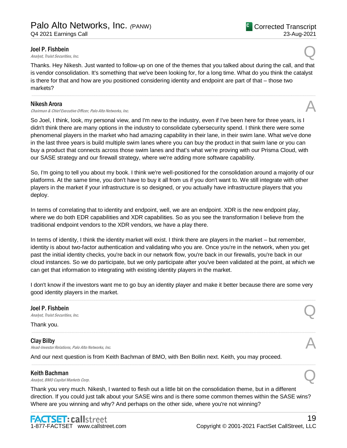#### Joel P. Fishbein

**Joel P. Fishbein**<br>Analyst, Truist Securities, Inc.  $\bigotimes$ 

23-Aug-2021

<sup>C</sup> Corrected Transcript

Thanks. Hey Nikesh. Just wanted to follow-up on one of the themes that you talked about during the call, and that is vendor consolidation. It's something that we've been looking for, for a long time. What do you think the catalyst is there for that and how are you positioned considering identity and endpoint are part of that – those two markets?

.....................................................................................................................................................................................................................................................................

#### Nikesh Arora

# Chairman & Chief Executive Officer, Palo Alto Networks, Inc. A

So Joel, I think, look, my personal view, and I'm new to the industry, even if I've been here for three years, is I didn't think there are many options in the industry to consolidate cybersecurity spend. I think there were some phenomenal players in the market who had amazing capability in their lane, in their swim lane. What we've done in the last three years is build multiple swim lanes where you can buy the product in that swim lane or you can buy a product that connects across those swim lanes and that's what we're proving with our Prisma Cloud, with our SASE strategy and our firewall strategy, where we're adding more software capability.

So, I'm going to tell you about my book. I think we're well-positioned for the consolidation around a majority of our platforms. At the same time, you don't have to buy it all from us if you don't want to. We still integrate with other players in the market if your infrastructure is so designed, or you actually have infrastructure players that you deploy.

In terms of correlating that to identity and endpoint, well, we are an endpoint. XDR is the new endpoint play, where we do both EDR capabilities and XDR capabilities. So as you see the transformation I believe from the traditional endpoint vendors to the XDR vendors, we have a play there.

In terms of identity, I think the identity market will exist. I think there are players in the market – but remember, identity is about two-factor authentication and validating who you are. Once you're in the network, when you get past the initial identity checks, you're back in our network flow, you're back in our firewalls, you're back in our cloud instances. So we do participate, but we only participate after you've been validated at the point, at which we can get that information to integrating with existing identity players in the market.

I don't know if the investors want me to go buy an identity player and make it better because there are some very good identity players in the market. .....................................................................................................................................................................................................................................................................

.....................................................................................................................................................................................................................................................................

.....................................................................................................................................................................................................................................................................

#### Joel P. Fishbein

**Joel P. Fishbein**<br>Analyst, Truist Securities, Inc.  $\bigotimes$ 

Thank you.

## Clay Bilby **Clay Bilby**<br>Head-Investor Relations, Palo Alto Networks, Inc.  $\mathcal{A}$

And our next question is from Keith Bachman of BMO, with Ben Bollin next. Keith, you may proceed.

#### Keith Bachman

**Keith Bachman**<br>Analyst, BMO Capital Markets Corp.  $Q$ 

Thank you very much. Nikesh, I wanted to flesh out a little bit on the consolidation theme, but in a different direction. If you could just talk about your SASE wins and is there some common themes within the SASE wins? Where are you winning and why? And perhaps on the other side, where you're not winning?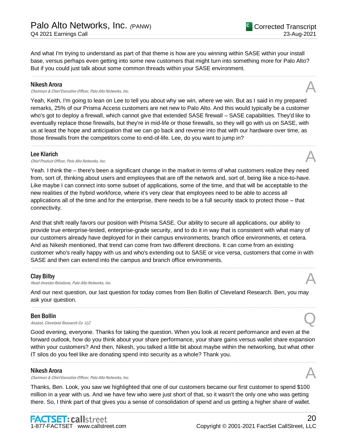And what I'm trying to understand as part of that theme is how are you winning within SASE within your install base, versus perhaps even getting into some new customers that might turn into something more for Palo Alto? But if you could just talk about some common threads within your SASE environment.

.....................................................................................................................................................................................................................................................................

#### Nikesh Arora

Chairman & Chief Executive Officer, Palo Alto Networks, Inc.

Yeah, Keith, I'm going to lean on Lee to tell you about why we win, where we win. But as I said in my prepared remarks, 25% of our Prisma Access customers are net new to Palo Alto. And this would typically be a customer who's got to deploy a firewall, which cannot give that extended SASE firewall – SASE capabilities. They'd like to eventually replace those firewalls, but they're in mid-life or those firewalls, so they will go with us on SASE, with us at least the hope and anticipation that we can go back and reverse into that with our hardware over time, as those firewalls from the competitors come to end-of-life. Lee, do you want to jump in?

.....................................................................................................................................................................................................................................................................

#### Lee Klarich

**Lee Klarich**<br>Chief Product Officer, Palo Alto Networks, Inc.  $\mathcal{A}$ 

Yeah. I think the – there's been a significant change in the market in terms of what customers realize they need from, sort of, thinking about users and employees that are off the network and, sort of, being like a nice-to-have. Like maybe I can connect into some subset of applications, some of the time, and that will be acceptable to the new realities of the hybrid workforce, where it's very clear that employees need to be able to access all applications all of the time and for the enterprise, there needs to be a full security stack to protect those – that connectivity.

And that shift really favors our position with Prisma SASE. Our ability to secure all applications, our ability to provide true enterprise-tested, enterprise-grade security, and to do it in way that is consistent with what many of our customers already have deployed for in their campus environments, branch office environments, et cetera. And as Nikesh mentioned, that trend can come from two different directions. It can come from an existing customer who's really happy with us and who's extending out to SASE or vice versa, customers that come in with SASE and then can extend into the campus and branch office environments.

.....................................................................................................................................................................................................................................................................

#### Clay Bilby

**Clay Bilby**<br>Head-Investor Relations, Palo Alto Networks, Inc.

And our next question, our last question for today comes from Ben Bollin of Cleveland Research. Ben, you may ask your question.

.....................................................................................................................................................................................................................................................................

#### Ben Bollin

**Ben Bollin**<br>Analyst, Cleveland Research Co. LLC

Good evening, everyone. Thanks for taking the question. When you look at recent performance and even at the forward outlook, how do you think about your share performance, your share gains versus wallet share expansion within your customers? And then, Nikesh, you talked a little bit about maybe within the networking, but what other IT silos do you feel like are donating spend into security as a whole? Thank you.

.....................................................................................................................................................................................................................................................................

#### Nikesh Arora

**Nikesh Arora**<br>Chairman & Chief Executive Officer, Palo Alto Networks, Inc. And the comparation of the chairman & Chief Executive Officer, Palo Alto Networks, Inc.

Thanks, Ben. Look, you saw we highlighted that one of our customers became our first customer to spend \$100 million in a year with us. And we have few who were just short of that, so it wasn't the only one who was getting there. So, I think part of that gives you a sense of consolidation of spend and us getting a higher share of wallet.